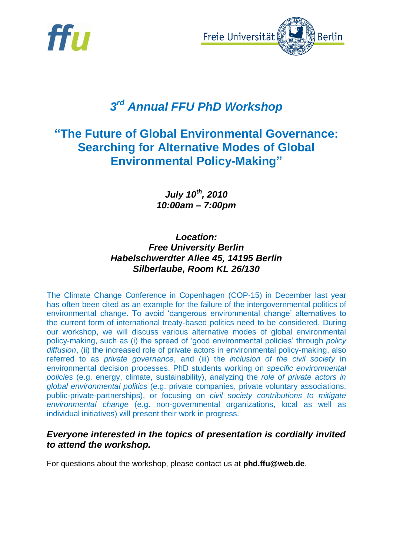



# *3 rd Annual FFU PhD Workshop*

## **"The Future of Global Environmental Governance: Searching for Alternative Modes of Global Environmental Policy-Making"**

*July 10th , 2010 10:00am – 7:00pm*

### *Location: Free University Berlin Habelschwerdter Allee 45, 14195 Berlin Silberlaube, Room KL 26/130*

The Climate Change Conference in Copenhagen (COP-15) in December last year has often been cited as an example for the failure of the intergovernmental politics of environmental change. To avoid 'dangerous environmental change' alternatives to the current form of international treaty-based politics need to be considered. During our workshop, we will discuss various alternative modes of global environmental policy-making, such as (i) the spread of 'good environmental policies' through *policy diffusion*, (ii) the increased role of private actors in environmental policy-making, also referred to as *private governance*, and (iii) the *inclusion of the civil society* in environmental decision processes. PhD students working on *specific environmental policies* (e.g. energy, climate, sustainability), analyzing the *role of private actors in global environmental politics* (e.g. private companies, private voluntary associations, public-private-partnerships), or focusing on *civil society contributions to mitigate environmental change* (e.g. non-governmental organizations, local as well as individual initiatives) will present their work in progress.

### *Everyone interested in the topics of presentation is cordially invited to attend the workshop.*

For questions about the workshop, please contact us at **phd.ffu@web.de**.